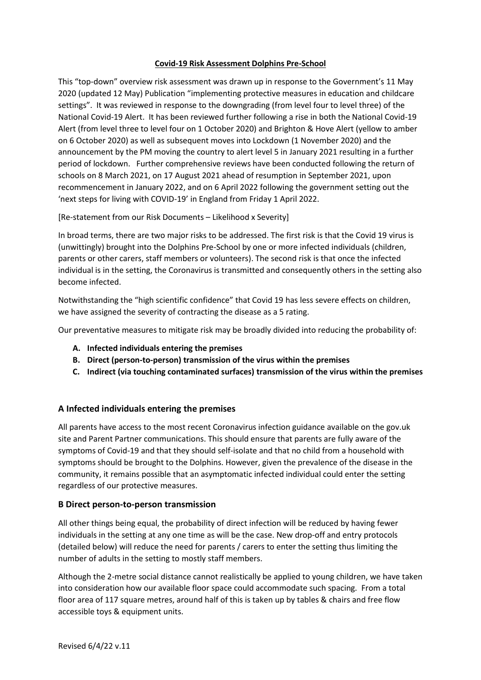### **Covid-19 Risk Assessment Dolphins Pre-School**

This "top-down" overview risk assessment was drawn up in response to the Government's 11 May 2020 (updated 12 May) Publication "implementing protective measures in education and childcare settings". It was reviewed in response to the downgrading (from level four to level three) of the National Covid-19 Alert. It has been reviewed further following a rise in both the National Covid-19 Alert (from level three to level four on 1 October 2020) and Brighton & Hove Alert (yellow to amber on 6 October 2020) as well as subsequent moves into Lockdown (1 November 2020) and the announcement by the PM moving the country to alert level 5 in January 2021 resulting in a further period of lockdown. Further comprehensive reviews have been conducted following the return of schools on 8 March 2021, on 17 August 2021 ahead of resumption in September 2021, upon recommencement in January 2022, and on 6 April 2022 following the government setting out the 'next steps for living with COVID-19' in England from Friday 1 April 2022.

[Re-statement from our Risk Documents – Likelihood x Severity]

In broad terms, there are two major risks to be addressed. The first risk is that the Covid 19 virus is (unwittingly) brought into the Dolphins Pre-School by one or more infected individuals (children, parents or other carers, staff members or volunteers). The second risk is that once the infected individual is in the setting, the Coronavirus is transmitted and consequently others in the setting also become infected.

Notwithstanding the "high scientific confidence" that Covid 19 has less severe effects on children, we have assigned the severity of contracting the disease as a 5 rating.

Our preventative measures to mitigate risk may be broadly divided into reducing the probability of:

- **A. Infected individuals entering the premises**
- **B. Direct (person-to-person) transmission of the virus within the premises**
- **C. Indirect (via touching contaminated surfaces) transmission of the virus within the premises**

# **A Infected individuals entering the premises**

All parents have access to the most recent Coronavirus infection guidance available on the gov.uk site and Parent Partner communications. This should ensure that parents are fully aware of the symptoms of Covid-19 and that they should self-isolate and that no child from a household with symptoms should be brought to the Dolphins. However, given the prevalence of the disease in the community, it remains possible that an asymptomatic infected individual could enter the setting regardless of our protective measures.

#### **B Direct person-to-person transmission**

All other things being equal, the probability of direct infection will be reduced by having fewer individuals in the setting at any one time as will be the case. New drop-off and entry protocols (detailed below) will reduce the need for parents / carers to enter the setting thus limiting the number of adults in the setting to mostly staff members.

Although the 2-metre social distance cannot realistically be applied to young children, we have taken into consideration how our available floor space could accommodate such spacing. From a total floor area of 117 square metres, around half of this is taken up by tables & chairs and free flow accessible toys & equipment units.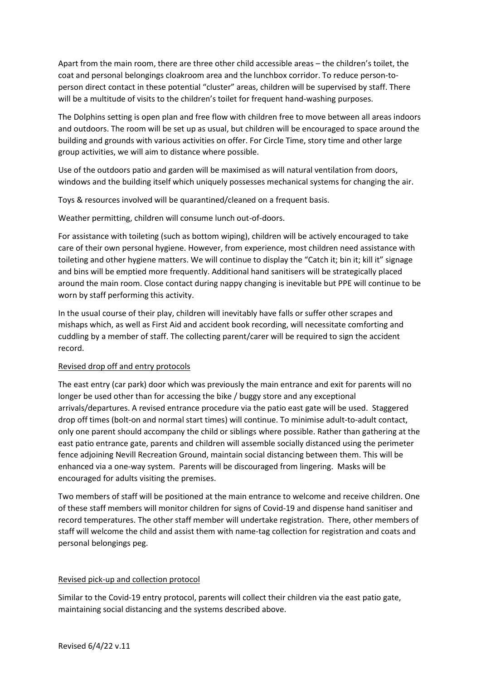Apart from the main room, there are three other child accessible areas – the children's toilet, the coat and personal belongings cloakroom area and the lunchbox corridor. To reduce person-toperson direct contact in these potential "cluster" areas, children will be supervised by staff. There will be a multitude of visits to the children's toilet for frequent hand-washing purposes.

The Dolphins setting is open plan and free flow with children free to move between all areas indoors and outdoors. The room will be set up as usual, but children will be encouraged to space around the building and grounds with various activities on offer. For Circle Time, story time and other large group activities, we will aim to distance where possible.

Use of the outdoors patio and garden will be maximised as will natural ventilation from doors, windows and the building itself which uniquely possesses mechanical systems for changing the air.

Toys & resources involved will be quarantined/cleaned on a frequent basis.

Weather permitting, children will consume lunch out-of-doors.

For assistance with toileting (such as bottom wiping), children will be actively encouraged to take care of their own personal hygiene. However, from experience, most children need assistance with toileting and other hygiene matters. We will continue to display the "Catch it; bin it; kill it" signage and bins will be emptied more frequently. Additional hand sanitisers will be strategically placed around the main room. Close contact during nappy changing is inevitable but PPE will continue to be worn by staff performing this activity.

In the usual course of their play, children will inevitably have falls or suffer other scrapes and mishaps which, as well as First Aid and accident book recording, will necessitate comforting and cuddling by a member of staff. The collecting parent/carer will be required to sign the accident record.

# Revised drop off and entry protocols

The east entry (car park) door which was previously the main entrance and exit for parents will no longer be used other than for accessing the bike / buggy store and any exceptional arrivals/departures. A revised entrance procedure via the patio east gate will be used. Staggered drop off times (bolt-on and normal start times) will continue. To minimise adult-to-adult contact, only one parent should accompany the child or siblings where possible. Rather than gathering at the east patio entrance gate, parents and children will assemble socially distanced using the perimeter fence adjoining Nevill Recreation Ground, maintain social distancing between them. This will be enhanced via a one-way system. Parents will be discouraged from lingering. Masks will be encouraged for adults visiting the premises.

Two members of staff will be positioned at the main entrance to welcome and receive children. One of these staff members will monitor children for signs of Covid-19 and dispense hand sanitiser and record temperatures. The other staff member will undertake registration. There, other members of staff will welcome the child and assist them with name-tag collection for registration and coats and personal belongings peg.

#### Revised pick-up and collection protocol

Similar to the Covid-19 entry protocol, parents will collect their children via the east patio gate, maintaining social distancing and the systems described above.